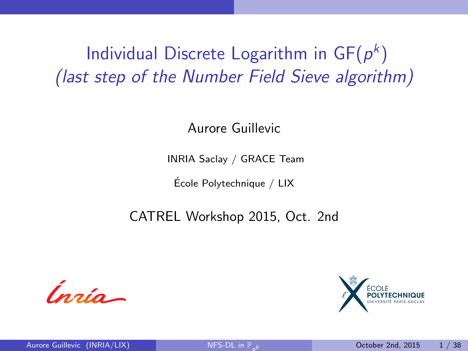Individual Discrete Logarithm in  $\mathsf{GF}(p^k)$ (last step of the Number Field Sieve algorithm)

Aurore Guillevic

INRIA Saclay / GRACE Team

Ecole Polytechnique / LIX ´

CATREL Workshop 2015, Oct. 2nd



<span id="page-0-0"></span>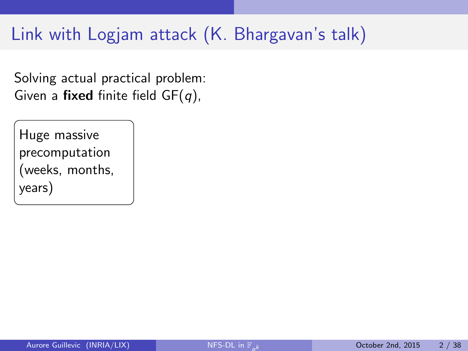Solving actual practical problem: Given a fixed finite field  $GF(q)$ ,

Huge massive precomputation (weeks, months, years)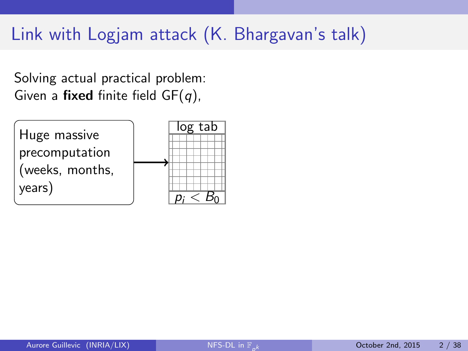Solving actual practical problem: Given a fixed finite field  $GF(q)$ ,

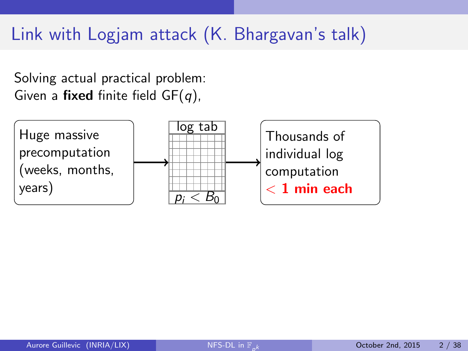Solving actual practical problem: Given a fixed finite field  $GF(q)$ ,

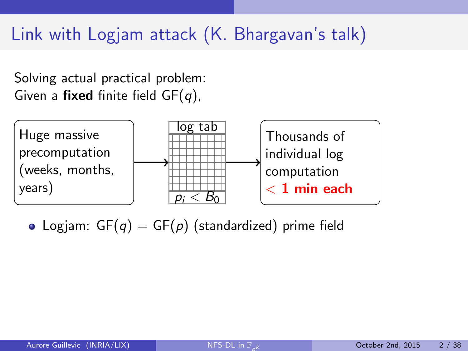Solving actual practical problem: Given a fixed finite field  $GF(q)$ ,



• Logiam:  $GF(q) = GF(p)$  (standardized) prime field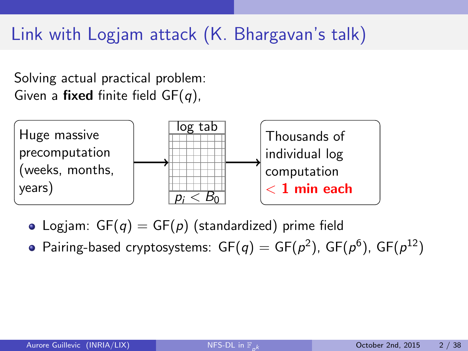Solving actual practical problem: Given a fixed finite field  $GF(q)$ ,



- Logiam:  $GF(q) = GF(p)$  (standardized) prime field
- Pairing-based cryptosystems:  $\mathsf{GF}(\mathsf{q})=\mathsf{GF}(\mathsf{p}^2)$ ,  $\mathsf{GF}(\mathsf{p}^6)$ ,  $\mathsf{GF}(\mathsf{p}^{12})$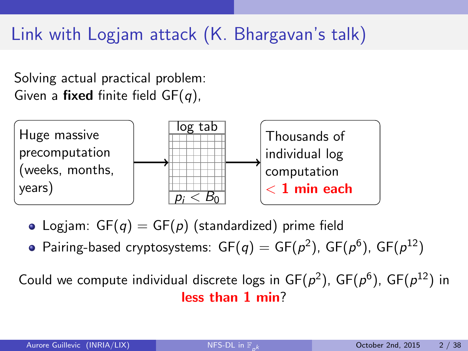Solving actual practical problem: Given a fixed finite field  $GF(q)$ ,



• Logiam:  $GF(q) = GF(p)$  (standardized) prime field

Pairing-based cryptosystems:  $\mathsf{GF}(\mathsf{q})=\mathsf{GF}(\mathsf{p}^2)$ ,  $\mathsf{GF}(\mathsf{p}^6)$ ,  $\mathsf{GF}(\mathsf{p}^{12})$ 

Could we compute individual discrete logs in  $GF(p^2)$ ,  $GF(p^6)$ ,  $GF(p^{12})$  in less than 1 min?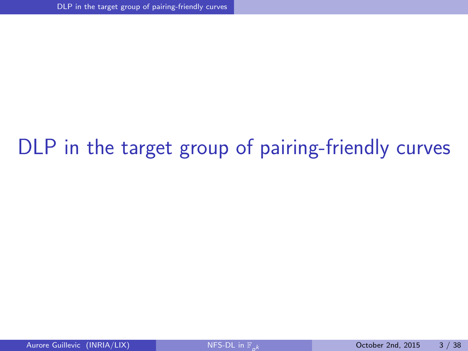## <span id="page-7-0"></span>[DLP in the target group of pairing-friendly curves](#page-7-0)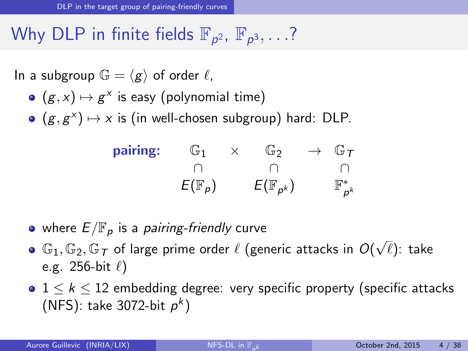## Why DLP in finite fields  $\mathbb{F}_{p^2}$ ,  $\mathbb{F}_{p^3}, \ldots$ ?

In a subgroup  $\mathbb{G} = \langle g \rangle$  of order  $\ell$ ,

- $(g, x) \mapsto g^x$  is easy (polynomial time)
- $(g, g^x) \mapsto x$  is (in well-chosen subgroup) hard: DLP.

<span id="page-8-0"></span>

| pairing: | G1                | ⊕ັນ                   | $\rightarrow$ $G_{\mathcal{T}}$ |
|----------|-------------------|-----------------------|---------------------------------|
|          |                   |                       |                                 |
|          | $E(\mathbb{F}_p)$ | $E(\mathbb{F}_{p^k})$ | $\mathbb{F}_{p^k}^*$            |

- where  $E/\mathbb{F}_p$  is a *pairing-friendly* curve
- where  $\Xi/\Xi$   $p$  is a pairing memary carve<br>G1, G2, G7 of large prime order  $\ell$  (generic attacks in  $O(\sqrt{2})$  $\ell)$ : take e.g. 256-bit  $\ell$ )
- $1 \leq k \leq 12$  embedding degree: very specific property (specific attacks (NFS): take 3072-bit  $p^k$ )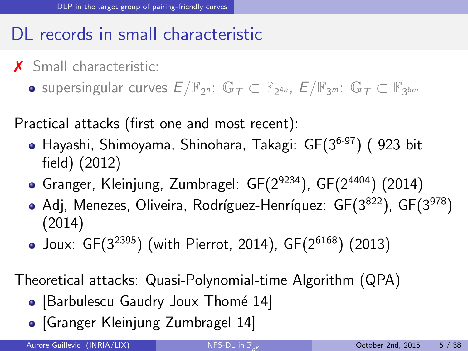### DL records in small characteristic

- X Small characteristic:
	- supersingular curves  $E/\mathbb{F}_{2^n}$ :  $\mathbb{G}_T\subset \mathbb{F}_{2^{4n}}$ ,  $E/\mathbb{F}_{3^m}$ :  $\mathbb{G}_T\subset \mathbb{F}_{3^{6m}}$

Practical attacks (first one and most recent):

- Hayashi, Shimoyama, Shinohara, Takagi: GF(3<sup>6</sup>·<sup>97</sup>) ( 923 bit field) (2012)
- Granger, Kleinjung, Zumbragel:  $GF(2^{9234})$ ,  $GF(2^{4404})$  (2014)
- Adj, Menezes, Oliveira, Rodríguez-Henríquez:  $GF(3^{822})$ ,  $GF(3^{978})$ (2014)
- Joux:  $GF(3^{2395})$  (with Pierrot, 2014),  $GF(2^{6168})$  (2013)

Theoretical attacks: Quasi-Polynomial-time Algorithm (QPA)

- [Barbulescu Gaudry Joux Thomé 14]
- <span id="page-9-0"></span>• [Granger Kleinjung Zumbragel 14]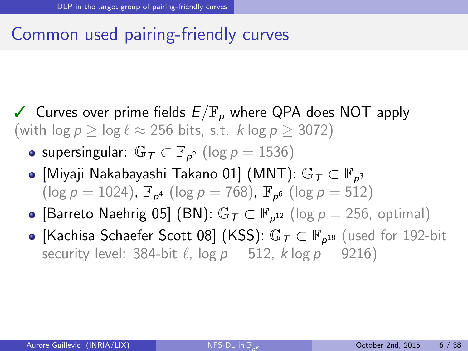### Common used pairing-friendly curves

- <span id="page-10-0"></span> $\checkmark$  Curves over prime fields  $E/\mathbb{F}_p$  where QPA does NOT apply (with  $\log p > \log \ell \approx 256$  bits, s.t. k  $\log p > 3072$ )
	- supersingular:  $\mathbb{G}_{\mathcal{T}} \subset \mathbb{F}_{p^2}$  (log  $p = 1536$ )
	- [Miyaji Nakabayashi Takano 01] (MNT):  $\mathbb{G}_{\mathcal{T}}\subset\mathbb{F}_{\rho^3}$  $(\log p = 1024)$ ,  $\mathbb{F}_{p^4}$  (log  $p = 768$ ),  $\mathbb{F}_{p^6}$  (log  $p = 512$ )
	- [Barreto Naehrig 05] (BN):  $\mathbb{G}_7 \subset \mathbb{F}_{p^{12}}$  (log  $p = 256$ , optimal)
	- [Kachisa Schaefer Scott 08] (KSS):  $\mathbb{G}_T \subset \mathbb{F}_{p^{18}}$  (used for 192-bit security level: 384-bit  $\ell$ , log  $p = 512$ , k log  $p = 9216$ )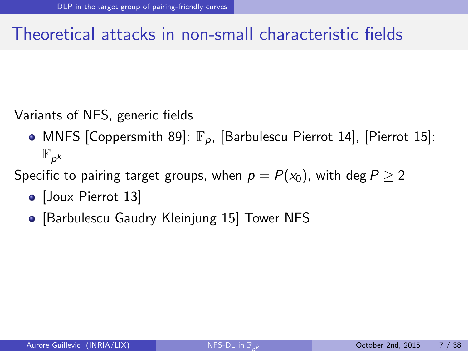### Theoretical attacks in non-small characteristic fields

Variants of NFS, generic fields

• MNFS [Coppersmith 89]:  $\mathbb{F}_p$ , [Barbulescu Pierrot 14], [Pierrot 15]:  $\mathbb{F}_{p^k}$ 

Specific to pairing target groups, when  $p = P(x_0)$ , with deg  $P \ge 2$ 

- [Joux Pierrot 13]
- <span id="page-11-0"></span>• [Barbulescu Gaudry Kleinjung 15] Tower NFS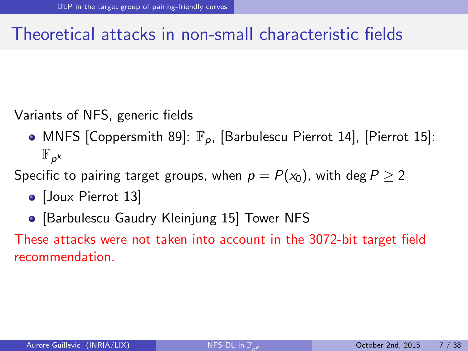### Theoretical attacks in non-small characteristic fields

Variants of NFS, generic fields

• MNFS [Coppersmith 89]:  $\mathbb{F}_p$ , [Barbulescu Pierrot 14], [Pierrot 15]:  $\mathbb{F}_{p^k}$ 

Specific to pairing target groups, when  $p = P(x_0)$ , with deg  $P \ge 2$ 

- [Joux Pierrot 13]
- <span id="page-12-0"></span>• [Barbulescu Gaudry Kleinjung 15] Tower NFS

These attacks were not taken into account in the 3072-bit target field recommendation.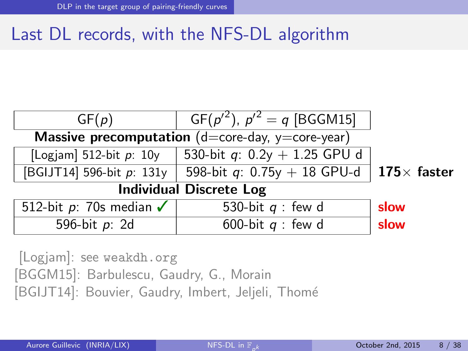### Last DL records, with the NFS-DL algorithm

| GF(p)                                              | $GF(p^2), p^2 = q$ [BGGM15]    |                     |
|----------------------------------------------------|--------------------------------|---------------------|
| Massive precomputation $(d=core-day, y=core-year)$ |                                |                     |
| [Logjam] 512-bit $p$ : 10y                         | 530-bit q: $0.2y + 1.25$ GPU d |                     |
| [BGIJT14] 596-bit p: 131y                          | 598-bit q: $0.75y + 18$ GPU-d  | 175 $\times$ faster |
| <b>Individual Discrete Log</b>                     |                                |                     |
| 512-bit p: 70s median $\checkmark$                 | 530-bit $q$ : few d            | slow                |
| 596-bit $p: 2d$                                    | 600-bit $q$ : few d            | slow                |

<span id="page-13-0"></span>[Logjam]: see <weakdh.org> [BGGM15]: Barbulescu, Gaudry, G., Morain [BGIJT14]: Bouvier, Gaudry, Imbert, Jeljeli, Thomé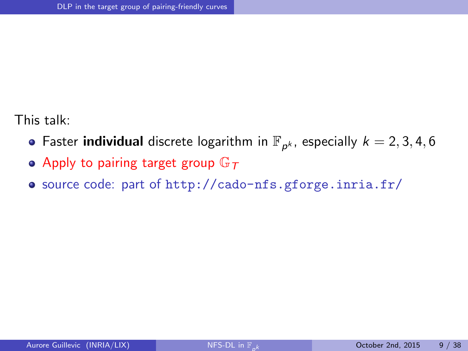This talk:

- Faster **individual** discrete logarithm in  $\mathbb{F}_{p^k}$ , especially  $k = 2, 3, 4, 6$
- Apply to pairing target group  $\mathbb{G}_T$
- <span id="page-14-0"></span>source code: part of <http://cado-nfs.gforge.inria.fr/>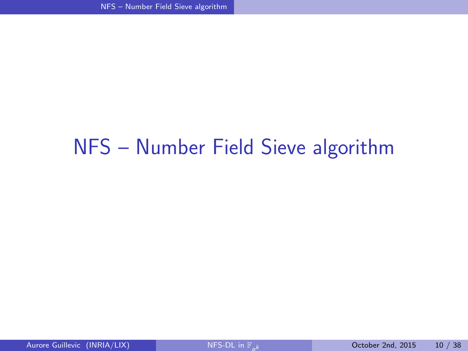## <span id="page-15-0"></span>[NFS – Number Field Sieve algorithm](#page-15-0)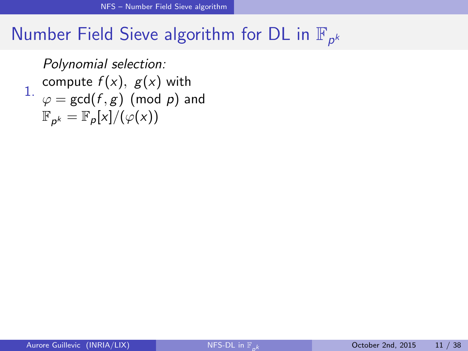<span id="page-16-0"></span>1.  $\varphi = \gcd(f, g) \pmod{p}$  and Polynomial selection: compute  $f(x)$ ,  $g(x)$  with  $\mathbb{F}_{p^k} = \mathbb{F}_p[x]/(\varphi(x))$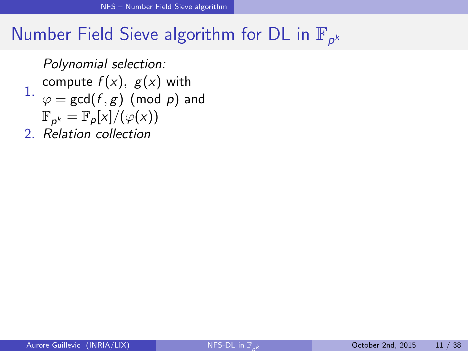1.  $\varphi = \gcd(f, g) \pmod{p}$  and Polynomial selection: compute  $f(x)$ ,  $g(x)$  with  $\mathbb{F}_{p^k} = \mathbb{F}_p[x]/(\varphi(x))$ 

<span id="page-17-0"></span>2. Relation collection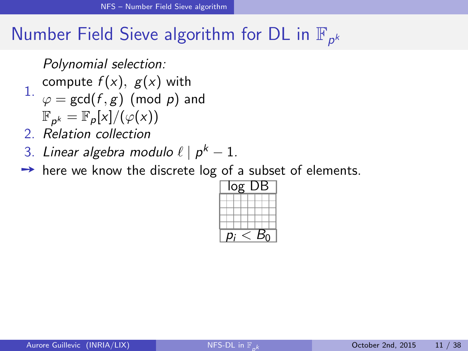Polynomial selection:

- compute  $f(x)$ ,  $g(x)$  with
- 1.  $\varphi = \gcd(f, g) \pmod{p}$  and
	- $\mathbb{F}_{p^k} = \mathbb{F}_p[x]/(\varphi(x))$
- 2. Relation collection
- 3. Linear algebra modulo  $\ell \mid p^k-1.$
- $\rightarrow$  here we know the discrete log of a subset of elements.

<span id="page-18-0"></span>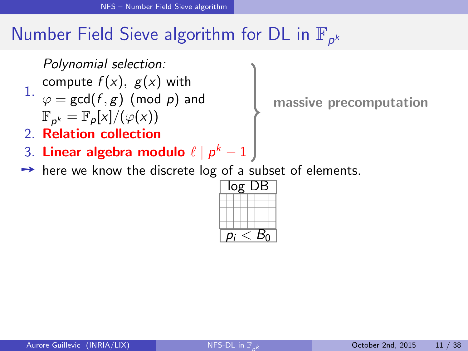Polynomial selection:

- compute  $f(x)$ ,  $g(x)$  with
- 1.  $\varphi = \gcd(f, g) \pmod{p}$  and  $\mathbb{F}_{p^k} = \mathbb{F}_p[x]/(\varphi(x))$
- 2. Relation collection
- 3. Linear algebra modulo  $\ell \mid p^k-1$
- $\rightarrow$  here we know the discrete log of a subset of elements.

<span id="page-19-0"></span>

massive precomputation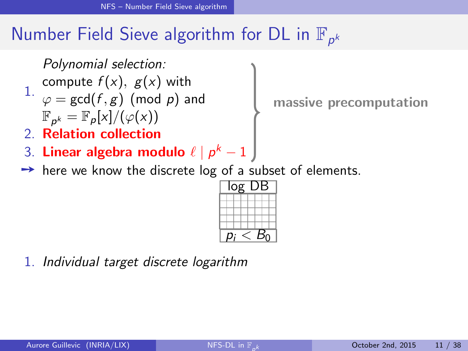Polynomial selection:

- compute  $f(x)$ ,  $g(x)$  with
- 1.  $\varphi = \gcd(f, g) \pmod{p}$  and  $\mathbb{F}_{p^k} = \mathbb{F}_p[x]/(\varphi(x))$
- 2. Relation collection
- 3. Linear algebra modulo  $\ell \mid p^k-1$
- $\rightarrow$  here we know the discrete log of a subset of elements.

<span id="page-20-0"></span>

1. Individual target discrete logarithm

massive precomputation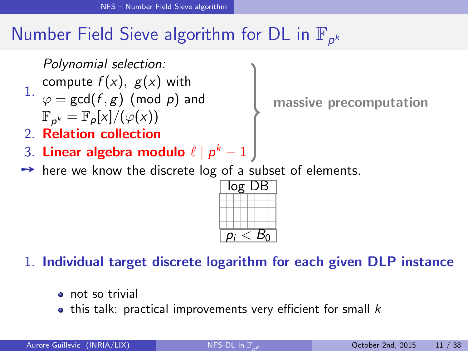Polynomial selection:

compute  $f(x)$ ,  $g(x)$  with

1.  $\varphi = \gcd(f, g) \pmod{p}$  and  $\mathbb{F}_{p^k} = \mathbb{F}_p[x]/(\varphi(x))$ 

2. Relation collection

- 3. Linear algebra modulo  $\ell \mid p^k-1$
- $\rightarrow$  here we know the discrete log of a subset of elements.

massive precomputation

<span id="page-21-0"></span>

1. Individual target discrete logarithm for each given DLP instance

- **e** not so trivial
- $\bullet$  this talk: practical improvements very efficient for small  $k$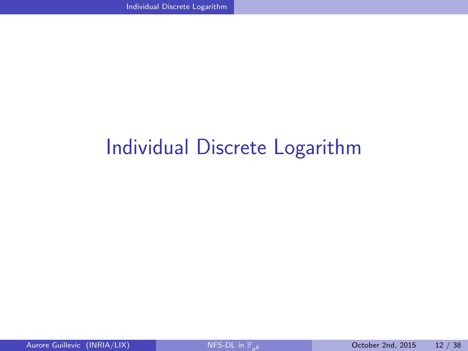## <span id="page-22-0"></span>[Individual Discrete Logarithm](#page-22-0)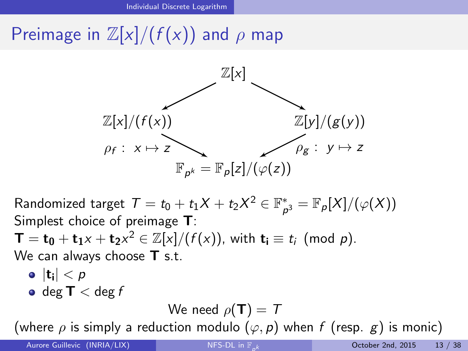## Preimage in  $\mathbb{Z}[x]/(f(x))$  and  $\rho$  map



Randomized target  $\mathcal{T}=t_0+t_1X+t_2X^2\in \mathbb{F}^*_p$  $\mathcal{P}_{\rho^3}^*=\mathbb{F}_\rho[X]/(\varphi(X))$ Simplest choice of preimage T:  $\mathbf{T} = \mathbf{t_0} + \mathbf{t_1} \times + \mathbf{t_2} \times^2 \in \mathbb{Z}[x]/(f(x))$ , with  $\mathbf{t_i} \equiv t_i \pmod{p}$ . We can always choose **T** s.t.  $|{\bf t}_{\mathsf{i}}| < \rho$ 

 $\bullet$  deg  $T <$  deg f

#### <span id="page-23-0"></span>We need  $\rho(\mathbf{T}) = \mathcal{T}$

(where  $\rho$  is simply a reduction modulo  $(\varphi, p)$  when f (resp. g) is monic)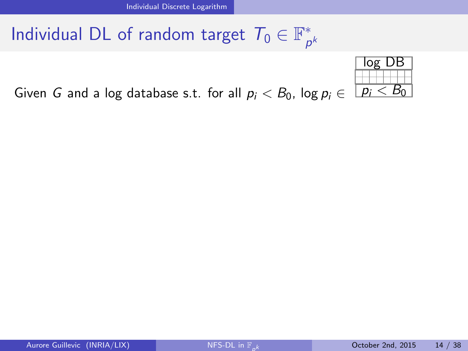<span id="page-24-0"></span>

Given G and a log database s.t. for all  $p_i < B_0$ , log  $p_i \in$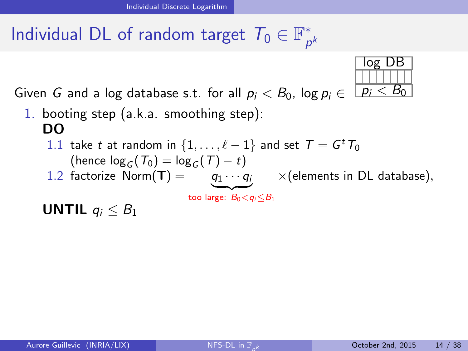log DB  $p_i < B_0$ 

Given G and a log database s.t. for all  $p_i < B_0$ , log  $p_i \in$ 

- 1. booting step (a.k.a. smoothing step): DO
	- 1.1 take t at random in  $\{1, \ldots, \ell 1\}$  and set  $\mathcal{T} = \mathcal{G}^t \mathcal{T}_0$ (hence  $\log_{G}(T_0) = \log_{G}(T) - t$ )
	- 1.2 factorize Norm(**T**) =  $q_1 \cdots q_i$   $\times$  (elements in DL database),

<span id="page-25-0"></span>too large:  $B_0 < q_i \leq B_1$ 

UNTIL  $q_i \n\leq B_1$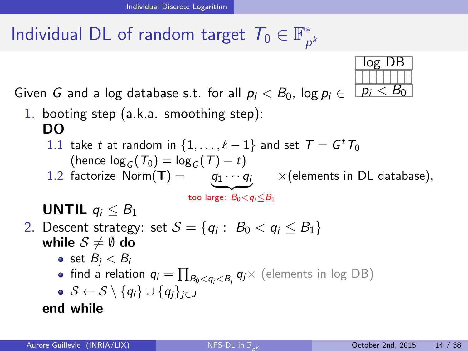<span id="page-26-0"></span>

Given G and a log database s.t. for all  $p_i < B_0$ , log  $p_i \in$ 

- 1. booting step (a.k.a. smoothing step): DO
	- 1.1 take t at random in  $\{1, \ldots, \ell 1\}$  and set  $\mathcal{T} = \mathcal{G}^t \mathcal{T}_0$ (hence  $\log_{C}(T_0) = \log_{C}(T) - t$ )
	- 1.2 factorize Norm(**T**) =  $q_1 \cdots q_i$   $\times$  (elements in DL database), too large:  $B_0 < q_i \leq B_1$

UNTIL  $q_i \n\leq B_1$ 

- 2. Descent strategy: set  $\mathcal{S}=\{q_i:~B_0 < q_i \leq B_1\}$ while  $S \neq \emptyset$  do
	- set  $B_i < B_i$
	- $\mathsf{find}$  a relation  $\mathsf{q}_i = \prod_{\mathcal{B}_0 < \mathsf{q}_j < \mathcal{B}_j} \mathsf{q}_j \times$  (elements in log DB)

$$
\bullet \enspace \mathcal{S} \leftarrow \mathcal{S} \setminus \{q_i\} \cup \{q_j\}_{j \in J}
$$

end while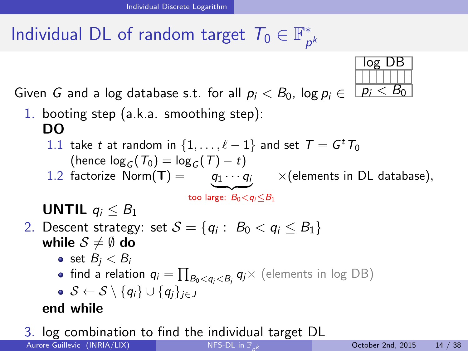Given G and a log database s.t. for all  $p_i < B_0$ , log  $p_i \in$  $p_i < B_0$ 1. booting step (a.k.a. smoothing step): 1.1 take t at random in  $\{1, \ldots, \ell - 1\}$  and set  $\mathcal{T} = \mathcal{G}^t \mathcal{T}_0$ (hence  $\log_{C}(T_0) = \log_{C}(T) - t$ ) 1.2 factorize Norm(**T**) =  $q_1 \cdots q_i$   $\times$  (elements in DL database),

UNTIL  $q_i \n\leq B_1$ 

DO

- 2. Descent strategy: set  $\mathcal{S}=\{q_i:~B_0 < q_i \leq B_1\}$ while  $S \neq \emptyset$  do
	- set  $B_i < B_i$
	- $\mathsf{find}$  a relation  $\mathsf{q}_i = \prod_{\mathcal{B}_0 < \mathsf{q}_j < \mathcal{B}_j} \mathsf{q}_j \times$  (elements in log DB)
	- $S \leftarrow S \setminus \{q_i\} \cup \{q_i\}_{i \in J}$

#### end while

3. log combination to find the individual target DL Aurore Guillevic (INRIA/LIX) NFS-DL in  $\mathbb{F}_k$ 

<span id="page-27-0"></span>

too large:  $B_0 < q_i \leq B_1$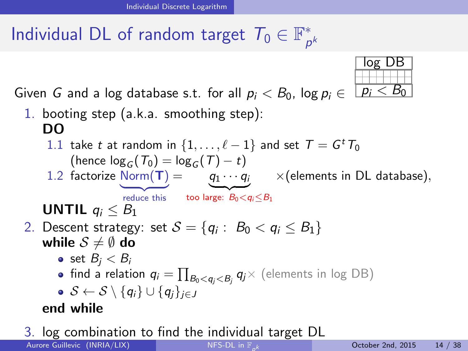

3. log combination to find the individual target DL Aurore Guillevic (INRIA/LIX)

<span id="page-28-0"></span>log DB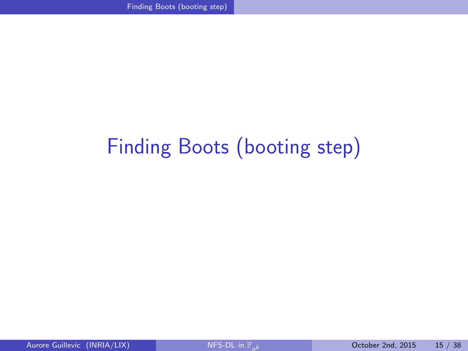# <span id="page-29-0"></span>[Finding Boots \(booting step\)](#page-29-0)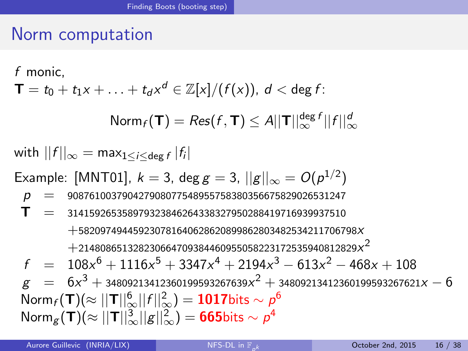### Norm computation

## <span id="page-30-0"></span>f monic,  $\mathsf{T}=t_0+t_1\mathsf{x}+\ldots+t_d\mathsf{x}^d\in\mathbb{Z}[\mathsf{x}]/(f(\mathsf{x})),\ d<\deg f$  :  $\mathsf{Norm}_f(\mathsf{T}) = \mathsf{Res}(f, \mathsf{T}) \leq A ||\mathsf{T}||_\infty^{\mathsf{deg}\,f} ||f||_\infty^d$ with  $||f||_{\infty} = \max_{1 \leq i \leq \deg f} |f_i|$ Example: [MNT01],  $k=3$ , deg  $g=3$ ,  $||g||_{\infty} = O(\rho^{1/2})$  $p = 908761003790427908077548955758380356675829026531247$  $T = 314159265358979323846264338327950288419716939937510$ +582097494459230781640628620899862803482534211706798x  $+$ 214808651328230664709384460955058223172535940812829 $\times^2$  $f = 108x^6 + 1116x^5 + 3347x^4 + 2194x^3 - 613x^2 - 468x + 108$  $g \hspace{2.5mm} = \hspace{.3mm} 6x^3 + {\scriptstyle 3}4809213412360199593267639x^2 + {\scriptstyle 3}4809213412360199593267621x - 6$  $\mathsf{Norm}_f(\mathsf{T})(\approx ||\mathsf{T}||_\infty^6||f||_\infty^2)=\mathsf{1017}$ bits  $\sim \rho^6$  $\mathsf{Norm}_\mathcal{B}(\mathsf{T})(\approx ||\mathsf{T}||_\infty^3||\mathcal{g}||_\infty^2)=\mathsf{665}$ bits  $\sim \rho^4$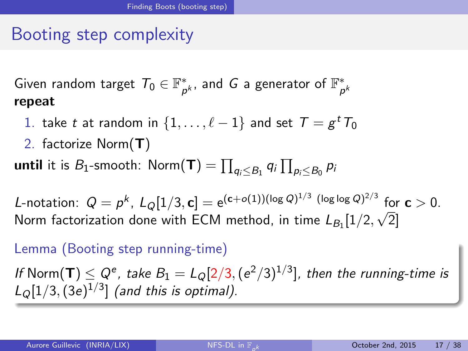### Booting step complexity

Given random target  $\mathcal{T}_0 \in \mathbb{F}^*_p$  $_{p^{k}}^{\ast}$ , and  $\,G$  a generator of  $\mathbb{F}_{p}^{\ast}$ p k repeat

- 1. take  $t$  at random in  $\{1, \ldots, \ell 1\}$  and set  $\mathcal{T} = g^{\, t} \, T_0$
- 2. factorize Norm(T)

**until** it is  $B_1$ -smooth:  $\mathsf{Norm}(\mathbf{T}) = \prod_{q_i \leq B_1} q_i \prod_{p_i \leq B_0} p_i$ 

L-notation:  $Q = p^k$ ,  $L_Q[1/3, \mathbf{c}] = e^{(\mathbf{c} + o(1)) (\log Q)^{1/3} (\log \log Q)^{2/3}}$  for  $\mathbf{c} > 0$ . Norm factorization done with ECM method, in time  $L_{B_1}[1/2,\sqrt{2}]$ 

#### Lemma (Booting step running-time)

<span id="page-31-0"></span>If  $\mathsf{Norm}(\mathsf{T}) \leq Q^e$ , take  $B_1 = L_Q[2/3, (e^2/3)^{1/3}]$ , then the running-time is  $L_{Q}[1/3,(3e)^{1/3}]$  (and this is optimal).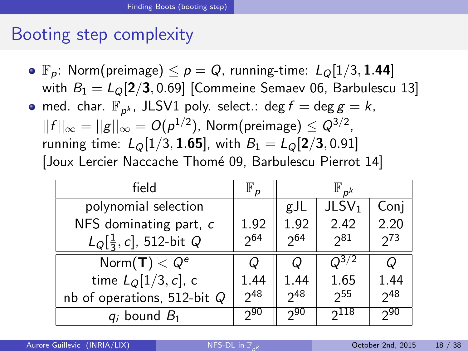#### Booting step complexity

•  $\mathbb{F}_p$ : Norm(preimage)  $\leq p = Q$ , running-time:  $L_Q[1/3, 1.44]$ with  $B_1 = L<sub>0</sub>[2/3, 0.69]$  [Commeine Semaev 06, Barbulescu 13] med. char.  $\mathbb{F}_{p^k}$ , JLSV1 poly. select.: deg  $f = \deg g = k$ ,  $||f||_{\infty}=||\boldsymbol{g}||_{\infty}=O(\rho^{1/2}),$  <code>Norm(preimage)</code>  $\leq Q^{3/2},$ running time:  $L_{\odot}[1/3, 1.65]$ , with  $B_1 = L_{\odot}[2/3, 0.91]$ [Joux Lercier Naccache Thomé 09, Barbulescu Pierrot 14]

<span id="page-32-0"></span>

| field                               | $\mathbb{F}_p$ | $\mathbb{F}_{p^k}$ |                   |          |  |
|-------------------------------------|----------------|--------------------|-------------------|----------|--|
| polynomial selection                |                | gJL                | JLSV <sub>1</sub> | Conj     |  |
| NFS dominating part, c              | 1.92           | 1.92               | 2.42              | 2.20     |  |
| $L_{Q}[\frac{1}{3}, c]$ , 512-bit Q | $2^{64}$       | $2^{64}$           | $2^{81}$          | $2^{73}$ |  |
| Norm $(T) < Q^e$                    |                | Q                  | $\sqrt{2^{3/2}}$  | Q        |  |
| time $L_{\mathcal{Q}}[1/3, c]$ , c  | 1.44           | 1.44               | 1.65              | 1.44     |  |
| nb of operations, 512-bit $Q$       | $2^{48}$       | $2^{48}$           | 2 <sub>55</sub>   | $2^{48}$ |  |
| $q_i$ bound $B_1$                   | 290            | 290                | 2118              | 290      |  |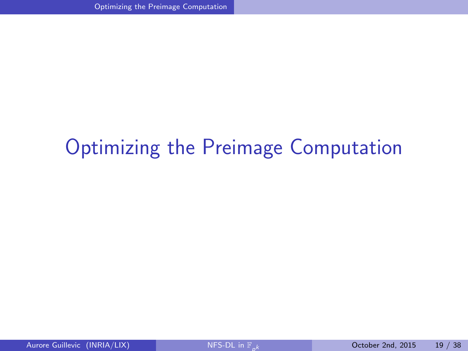## <span id="page-33-0"></span>[Optimizing the Preimage Computation](#page-33-0)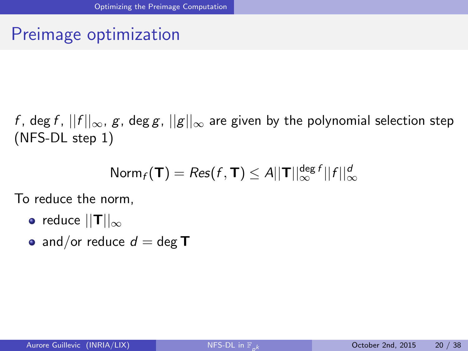### Preimage optimization

f, deg f,  $||f||_{\infty}$ , g, deg g,  $||g||_{\infty}$  are given by the polynomial selection step (NFS-DL step 1)

<span id="page-34-0"></span>
$$
\text{Norm}_f(\mathbf{T}) = \text{Res}(f, \mathbf{T}) \leq A ||\mathbf{T}||_{\infty}^{\text{deg }f} ||f||_{\infty}^d
$$

To reduce the norm,

- reduce  $||T||_{\infty}$
- and/or reduce  $d = \text{deg } T$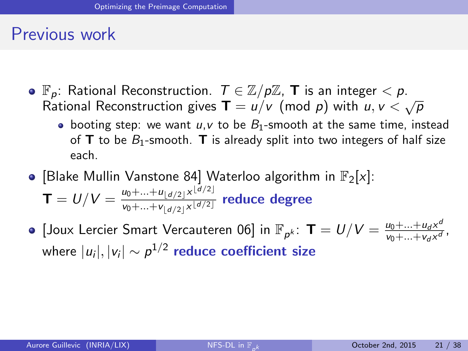#### Previous work

- $\bullet$   $\mathbb{F}_p$ : Rational Reconstruction.  $T \in \mathbb{Z}/p\mathbb{Z}$ , **T** is an integer  $\lt p$ .  $\mathbb{P}_p$ . National Neconstruction:  $\tau \in \mathbb{Z}/p\mathbb{Z}$ , **i** is an integer  $\lt p$ .<br>Rational Reconstruction gives  $\mathbf{T} = u/v \pmod{p}$  with  $u, v \lt \sqrt{p}$ 
	- booting step: we want  $u, v$  to be  $B_1$ -smooth at the same time, instead of **T** to be  $B_1$ -smooth. **T** is already split into two integers of half size each.
- [Blake Mullin Vanstone 84] Waterloo algorithm in  $\mathbb{F}_2[x]$ :  $\mathbf{T} = U/V = \frac{u_0 + ... + u_{\lfloor d/2 \rfloor} \times^{\lfloor d/2 \rfloor}}{u_0 + ... + u_{\lfloor d/2 \rfloor} \times^{\lfloor d/2 \rfloor}}$  $\frac{u_0 + ... + u_{\lfloor d/2 \rfloor} \times \lfloor d/2 \rfloor}{v_0 + ... + v_{\lfloor d/2 \rfloor} \times \lfloor d/2 \rfloor}$  reduce degree
- <span id="page-35-0"></span>[Joux Lercier Smart Vercauteren 06] in  $\mathbb{F}_{p^k}$ :  $\textsf{T} = U/V = \frac{u_0 + ... + u_d \times^d}{v_0 + ... + v_d \times^d}$  $v_0 + ... + v_d x^d$ , where  $|u_i|, |v_i| \sim \rho^{1/2}$  reduce coefficient size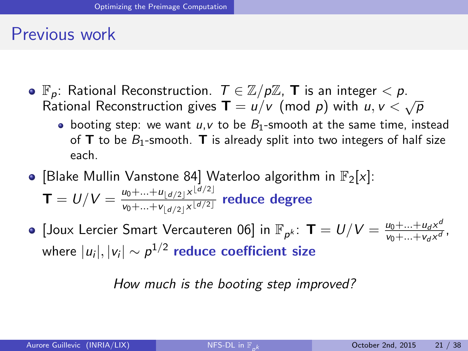#### Previous work

- $\bullet$   $\mathbb{F}_p$ : Rational Reconstruction.  $T \in \mathbb{Z}/p\mathbb{Z}$ , **T** is an integer  $\lt p$ .  $\mathbb{P}_p$ . National Neconstruction:  $\tau \in \mathbb{Z}/p\mathbb{Z}$ , **i** is an integer  $\lt p$ .<br>Rational Reconstruction gives  $\mathbf{T} = u/v \pmod{p}$  with  $u, v \lt \sqrt{p}$ 
	- booting step: we want  $u, v$  to be  $B_1$ -smooth at the same time, instead of **T** to be  $B_1$ -smooth. **T** is already split into two integers of half size each.
- [Blake Mullin Vanstone 84] Waterloo algorithm in  $\mathbb{F}_2[x]$ :  $\mathbf{T} = U/V = \frac{u_0 + ... + u_{\lfloor d/2 \rfloor} \times^{\lfloor d/2 \rfloor}}{u_0 + ... + u_{\lfloor d/2 \rfloor} \times^{\lfloor d/2 \rfloor}}$  $\frac{u_0 + ... + u_{\lfloor d/2 \rfloor} \times \lfloor d/2 \rfloor}{v_0 + ... + v_{\lfloor d/2 \rfloor} \times \lfloor d/2 \rfloor}$  reduce degree
- [Joux Lercier Smart Vercauteren 06] in  $\mathbb{F}_{p^k}$ :  $\textsf{T} = U/V = \frac{u_0 + ... + u_d \times^d}{v_0 + ... + v_d \times^d}$  $v_0 + ... + v_d x^d$ , where  $|u_i|, |v_i| \sim \rho^{1/2}$  reduce coefficient size

<span id="page-36-0"></span>How much is the booting step improved?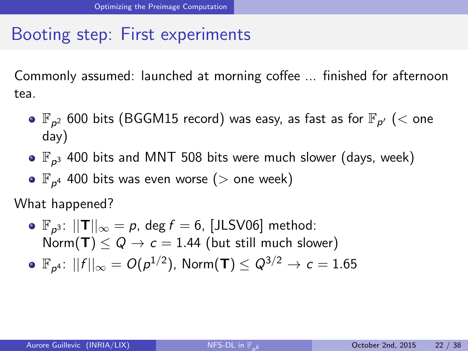### Booting step: First experiments

Commonly assumed: launched at morning coffee ... finished for afternoon tea.

- $\mathbb{F}_{\rho^2}$  600 bits (BGGM15 record) was easy, as fast as for  $\mathbb{F}_{\rho'}$  ( $<$  one day)
- $\mathbb{F}_{\rho^3}$  400 bits and MNT 508 bits were much slower (days, week)
- $\mathbb{F}_{p^4}$  400 bits was even worse ( $>$  one week)

What happened?

<span id="page-37-0"></span> $\mathbb{F}_{p^3}$ :  $||\mathsf{T}||_{\infty} = p$ , deg  $f = 6$ , [JLSV06] method: Norm(T)  $\leq Q \rightarrow c = 1.44$  (but still much slower)  $\mathbb{F}_{\rho^4}\!\!: \, ||f||_{\infty} = O(\rho^{1/2}),$  Norm $(\mathsf{T}) \leq Q^{3/2} \to c = 1.65$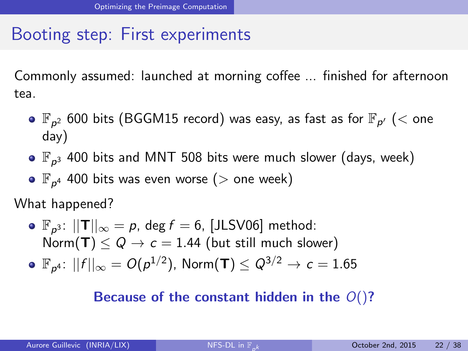### Booting step: First experiments

Commonly assumed: launched at morning coffee ... finished for afternoon tea.

- $\mathbb{F}_{\rho^2}$  600 bits (BGGM15 record) was easy, as fast as for  $\mathbb{F}_{\rho'}$  ( $<$  one day)
- $\mathbb{F}_{\rho^3}$  400 bits and MNT 508 bits were much slower (days, week)
- $\mathbb{F}_{p^4}$  400 bits was even worse ( $>$  one week)

What happened?

 $\mathbb{F}_{p^3}$ :  $||\mathsf{T}||_{\infty} = p$ , deg  $f = 6$ , [JLSV06] method: Norm(T)  $\leq Q \rightarrow c = 1.44$  (but still much slower)  $\mathbb{F}_{\rho^4}\!\!: \, ||f||_{\infty} = O(\rho^{1/2}),$  Norm $(\mathsf{T}) \leq Q^{3/2} \to c = 1.65$ 

#### <span id="page-38-0"></span>Because of the constant hidden in the  $O($ )?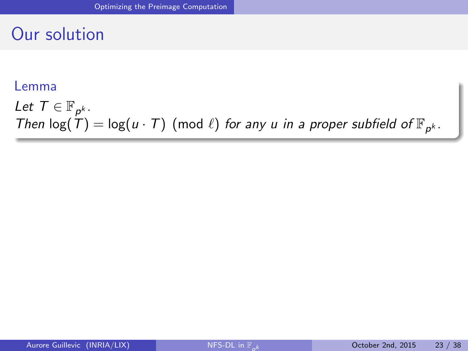#### Our solution

#### Lemma

<span id="page-39-0"></span>Let  $T \in \mathbb{F}_{p^k}$ . Then  $log(T) = log(u \cdot T)$  (mod  $\ell$ ) for any u in a proper subfield of  $\mathbb{F}_{p^k}$ .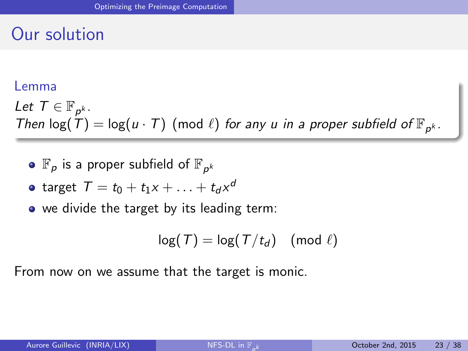### Our solution

#### Lemma

Let  $T \in \mathbb{F}_{p^k}$ . Then  $log(T) = log(u \cdot T)$  (mod  $\ell$ ) for any u in a proper subfield of  $\mathbb{F}_{p^k}$ .

• 
$$
\mathbb{F}_p
$$
 is a proper subfield of  $\mathbb{F}_{p^k}$ 

• target 
$$
T = t_0 + t_1x + \ldots + t_dx^d
$$

• we divide the target by its leading term:

<span id="page-40-0"></span>
$$
\log(T) = \log(T/t_d) \pmod{\ell}
$$

From now on we assume that the target is monic.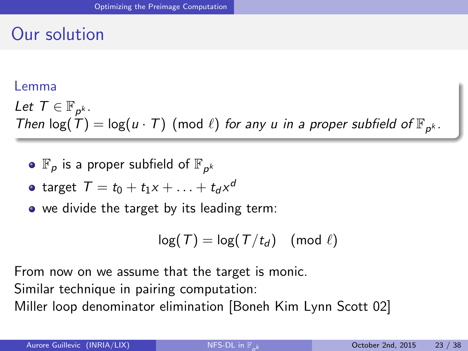### Our solution

#### Lemma

Let  $T \in \mathbb{F}_{p^k}$ . Then  $log(T) = log(u \cdot T)$  (mod  $\ell$ ) for any u in a proper subfield of  $\mathbb{F}_{p^k}$ .

• 
$$
\mathbb{F}_p
$$
 is a proper subfield of  $\mathbb{F}_{p^k}$ 

• target 
$$
T = t_0 + t_1x + \ldots + t_dx^d
$$

• we divide the target by its leading term:

<span id="page-41-0"></span>
$$
\log(T) = \log(T/t_d) \pmod{\ell}
$$

From now on we assume that the target is monic. Similar technique in pairing computation: Miller loop denominator elimination [Boneh Kim Lynn Scott 02]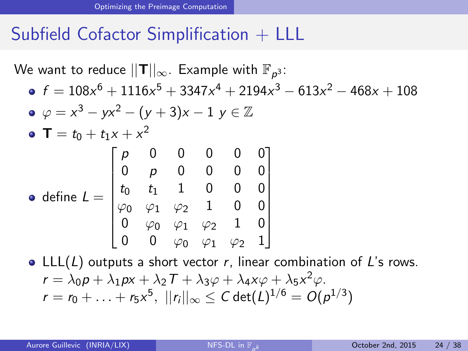We want to reduce  $||\textsf{T}||_{\infty}$ . Example with  $\mathbb{F}_{\rho^3}$ :  $f = 108x^6 + 1116x^5 + 3347x^4 + 2194x^3 - 613x^2 - 468x + 108$  $\varphi = x^3 - yx^2 - (y+3)x - 1$   $y \in \mathbb{Z}$  $T = t_0 + t_1 x + x^2$ define  $\mathcal{L}=% \begin{bmatrix} \omega_{\text{r}}\\ \omega_{\text{r}}\\ \omega_{\text{r}}\\ \omega_{\text{r}}\\ \omega_{\text{r}}\\ \omega_{\text{r}}\\ \omega_{\text{r}}\\ \omega_{\text{r}}\\ \omega_{\text{r}}\\ \omega_{\text{r}}\\ \omega_{\text{r}}\\ \omega_{\text{r}}\\ \omega_{\text{r}}\\ \omega_{\text{r}}\\ \omega_{\text{r}}\\ \omega_{\text{r}}\\ \omega_{\text{r}}\\ \omega_{\text{r}}\\ \omega_{\text{r}}\\ \omega_{\text{r}}\\ \omega_{\text{r}}\\ \omega_{\text{r}}\\ \omega$  $\sqrt{ }$  p 0 0 0 0 0 0 *p* 0 0 0 0  $t_0$   $t_1$  1 0 0 0  $\varphi_0$   $\varphi_1$   $\varphi_2$  1 0 0  $0$   $\varphi_0$   $\varphi_1$   $\varphi_2$  1  $0$  $0$   $0$   $\varphi_0$   $\varphi_1$   $\varphi_2$  1 1  $\begin{array}{c} \begin{array}{c} \begin{array}{c} \begin{array}{c} \end{array} \\ \begin{array}{c} \end{array} \\ \begin{array}{c} \end{array} \end{array} \end{array} \end{array}$ • LLL( $L$ ) outputs a short vector r, linear combination of  $L$ 's rows.  $r = \lambda_0 p + \lambda_1 px + \lambda_2 T + \lambda_3 \varphi + \lambda_4 x \varphi + \lambda_5 x^2 \varphi.$ 

<span id="page-42-0"></span> $r=r_0+\ldots+r_5\textsf{x}^5,\;||r_i||_\infty\leq \textsf{C}\,\textsf{det}(\textsf{L})^{1/6}=\textsf{O}(\rho^{1/3})$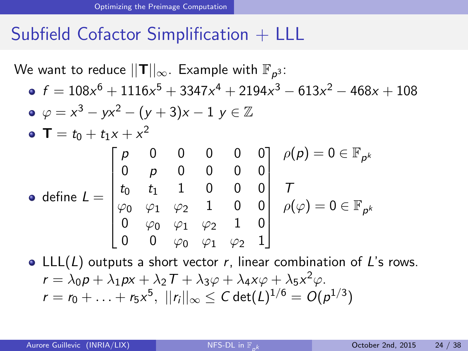We want to reduce  $||\textsf{T}||_{\infty}$ . Example with  $\mathbb{F}_{\rho^3}$ :  $f = 108x^6 + 1116x^5 + 3347x^4 + 2194x^3 - 613x^2 - 468x + 108$  $\varphi = x^3 - yx^2 - (y+3)x - 1$   $y \in \mathbb{Z}$  $T = t_0 + t_1 x + x^2$ define  $\mathcal{L}=% \begin{bmatrix} \omega_{\text{r}}\\ \omega_{\text{r}}\\ \omega_{\text{r}}\\ \omega_{\text{r}}\\ \omega_{\text{r}}\\ \omega_{\text{r}}\\ \omega_{\text{r}}\\ \omega_{\text{r}}\\ \omega_{\text{r}}\\ \omega_{\text{r}}\\ \omega_{\text{r}}\\ \omega_{\text{r}}\\ \omega_{\text{r}}\\ \omega_{\text{r}}\\ \omega_{\text{r}}\\ \omega_{\text{r}}\\ \omega_{\text{r}}\\ \omega_{\text{r}}\\ \omega_{\text{r}}\\ \omega_{\text{r}}\\ \omega_{\text{r}}\\ \omega_{\text{r}}\\ \omega$  $\sqrt{ }$  p 0 0 0 0 0 0 *p* 0 0 0 0  $t_0$   $t_1$  1 0 0 0  $\varphi_0$   $\varphi_1$   $\varphi_2$  1 0 0  $0$   $\varphi_0$   $\varphi_1$   $\varphi_2$  1  $0$  $0$   $0$   $\varphi_0$   $\varphi_1$   $\varphi_2$  1 1  $\begin{array}{c} \begin{array}{c} \begin{array}{c} \begin{array}{c} \end{array} \\ \begin{array}{c} \end{array} \\ \begin{array}{c} \end{array} \end{array} \end{array} \end{array}$  $\rho(\rho)=0\in \mathbb{F}_{\rho^k}$ T  $\rho(\varphi) = 0 \in \mathbb{F}_{\rho^k}$ • LLL( $L$ ) outputs a short vector r, linear combination of  $L$ 's rows.

<span id="page-43-0"></span>
$$
r = \lambda_0 p + \lambda_1 px + \lambda_2 T + \lambda_3 \varphi + \lambda_4 x \varphi + \lambda_5 x^2 \varphi.
$$
  

$$
r = r_0 + \ldots + r_5 x^5, ||r_i||_{\infty} \leq C \det(L)^{1/6} = O(p^{1/3})
$$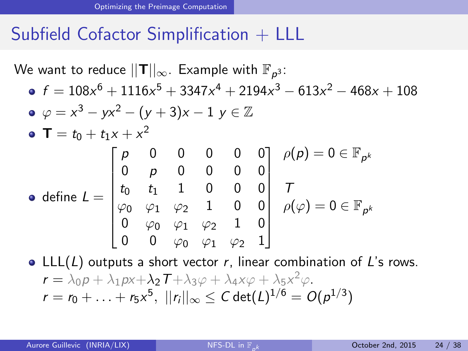We want to reduce  $||\textsf{T}||_{\infty}$ . Example with  $\mathbb{F}_{\rho^3}$ :  $f = 108x^6 + 1116x^5 + 3347x^4 + 2194x^3 - 613x^2 - 468x + 108$  $\varphi = x^3 - yx^2 - (y+3)x - 1$   $y \in \mathbb{Z}$  $T = t_0 + t_1 x + x^2$ define  $\mathcal{L}=% \begin{bmatrix} \omega_{\text{r}}\\ \omega_{\text{r}}\\ \omega_{\text{r}}\\ \omega_{\text{r}}\\ \omega_{\text{r}}\\ \omega_{\text{r}}\\ \omega_{\text{r}}\\ \omega_{\text{r}}\\ \omega_{\text{r}}\\ \omega_{\text{r}}\\ \omega_{\text{r}}\\ \omega_{\text{r}}\\ \omega_{\text{r}}\\ \omega_{\text{r}}\\ \omega_{\text{r}}\\ \omega_{\text{r}}\\ \omega_{\text{r}}\\ \omega_{\text{r}}\\ \omega_{\text{r}}\\ \omega_{\text{r}}\\ \omega_{\text{r}}\\ \omega_{\text{r}}\\ \omega$  $\sqrt{ }$  p 0 0 0 0 0 0 *p* 0 0 0 0  $t_0$   $t_1$  1 0 0 0  $\varphi_0$   $\varphi_1$   $\varphi_2$  1 0 0  $0$   $\varphi_0$   $\varphi_1$   $\varphi_2$  1  $0$  $0$   $0$   $\varphi_0$   $\varphi_1$   $\varphi_2$  1 1  $\begin{array}{c} \begin{array}{c} \begin{array}{c} \begin{array}{c} \end{array} \\ \begin{array}{c} \end{array} \\ \begin{array}{c} \end{array} \end{array} \end{array} \end{array}$  $\rho(\rho)=0\in \mathbb{F}_{\rho^k}$ T  $\rho(\varphi) = 0 \in \mathbb{F}_{\rho^k}$ 

<span id="page-44-0"></span>• LLL( $L$ ) outputs a short vector r, linear combination of  $L$ 's rows.  $r = \lambda_0 p + \lambda_1 px + \lambda_2 T + \lambda_3 \varphi + \lambda_4 x \varphi + \lambda_5 x^2 \varphi.$  $r=r_0+\ldots+r_5\textsf{x}^5,\;||r_i||_\infty\leq \textsf{C}\,\textsf{det}(\textsf{L})^{1/6}=\textsf{O}(\rho^{1/3})$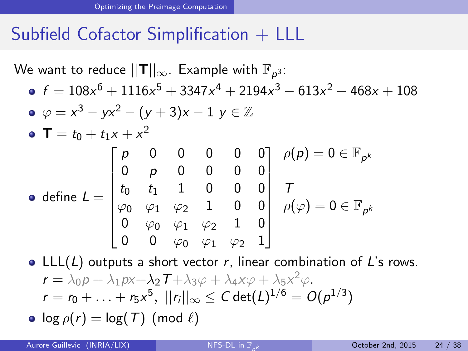We want to reduce  $||\textsf{T}||_{\infty}$ . Example with  $\mathbb{F}_{\rho^3}$ :  $f = 108x^6 + 1116x^5 + 3347x^4 + 2194x^3 - 613x^2 - 468x + 108$  $\varphi = x^3 - yx^2 - (y+3)x - 1$   $y \in \mathbb{Z}$  $T = t_0 + t_1 x + x^2$ define  $\mathcal{L}=% \begin{bmatrix} \omega_{\text{r}}\\ \omega_{\text{r}}\\ \omega_{\text{r}}\\ \omega_{\text{r}}\\ \omega_{\text{r}}\\ \omega_{\text{r}}\\ \omega_{\text{r}}\\ \omega_{\text{r}}\\ \omega_{\text{r}}\\ \omega_{\text{r}}\\ \omega_{\text{r}}\\ \omega_{\text{r}}\\ \omega_{\text{r}}\\ \omega_{\text{r}}\\ \omega_{\text{r}}\\ \omega_{\text{r}}\\ \omega_{\text{r}}\\ \omega_{\text{r}}\\ \omega_{\text{r}}\\ \omega_{\text{r}}\\ \omega_{\text{r}}\\ \omega_{\text{r}}\\ \omega$  $\sqrt{ }$  p 0 0 0 0 0 0 *p* 0 0 0 0  $t_0$   $t_1$  1 0 0 0  $\varphi_0$   $\varphi_1$   $\varphi_2$  1 0 0  $0$   $\varphi_0$   $\varphi_1$   $\varphi_2$  1  $0$  $0$   $0$   $\varphi_0$   $\varphi_1$   $\varphi_2$  1 1  $\begin{array}{c} \begin{array}{c} \begin{array}{c} \begin{array}{c} \end{array} \\ \begin{array}{c} \end{array} \\ \begin{array}{c} \end{array} \end{array} \end{array} \end{array}$  $\rho(\rho)=0\in \mathbb{F}_{\rho^k}$ T  $\rho(\varphi) = 0 \in \mathbb{F}_{\rho^k}$ • LLL( $L$ ) outputs a short vector r, linear combination of  $L$ 's rows.  $r = \lambda_0 p + \lambda_1 px + \lambda_2 T + \lambda_3 \varphi + \lambda_4 x \varphi + \lambda_5 x^2 \varphi.$ 

<span id="page-45-0"></span> $r=r_0+\ldots+r_5\textsf{x}^5,\;||r_i||_\infty\leq \textsf{C}\,\textsf{det}(\textsf{L})^{1/6}=\textsf{O}(\rho^{1/3})$ 

$$
\bullet \ \log \rho(r) = \log(T) \ (\text{mod} \ \ell)
$$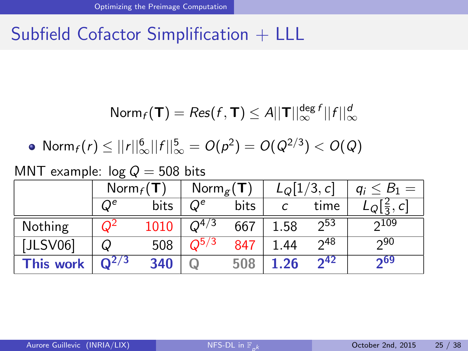<span id="page-46-0"></span>
$$
\text{Norm}_f(\mathbf{T}) = \text{Res}(f, \mathbf{T}) \leq A ||\mathbf{T}||_{\infty}^{\text{deg }f} ||f||_{\infty}^d
$$

• Norm<sub>f</sub>(r) 
$$
\leq ||r||_{\infty}^{6}||f||_{\infty}^{5} = O(p^{2}) = O(Q^{2/3}) < O(Q)
$$

MNT example:  $log Q = 508$  bits

|                  | $Norm_f(T)$ |      | Norm <sub>g</sub> (T) |      | $L_Q[1/3,c]$ |          | $q_i \leq B_1 = 0$             |
|------------------|-------------|------|-----------------------|------|--------------|----------|--------------------------------|
|                  | $Q^e$       | bits | $Q^e$                 | bits |              | time     | $LQ\left[\frac{2}{3},C\right]$ |
| Nothing          | $Q^2$       | 1010 | $Q^{4/3}$             | 667  | 1.58         | $2^{53}$ | 2109                           |
| [JLSV06]         | Q           | 508  | $O^{5/3}$             | 847  | 1.44         | $2^{48}$ | 290                            |
| <b>This work</b> | $Q^{2/3}$   | 340  |                       | 508  | 1.26         | $2^{42}$ | 269                            |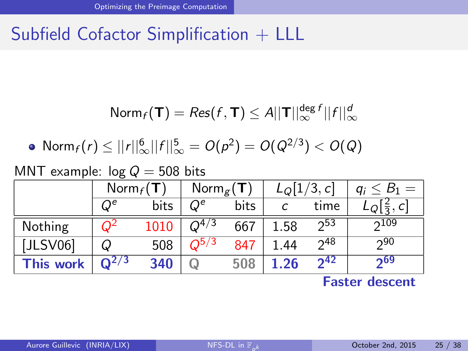$$
\text{Norm}_f(\mathbf{T}) = \text{Res}(f, \mathbf{T}) \leq A ||\mathbf{T}||_{\infty}^{\text{deg }f} ||f||_{\infty}^d
$$

• 
$$
\text{Norm}_f(r) \leq ||r||_{\infty}^6 ||f||_{\infty}^5 = O(p^2) = O(Q^{2/3}) < O(Q)
$$

MNT example:  $log Q = 508$  bits

|                  | $\mathsf{Norm}_f(\mathsf{T})$ |      | Norm $_{\varepsilon}$ (T) |      | $L_{Q}[1/3, c]$ |          | $q_i \leq B_1 =$ |
|------------------|-------------------------------|------|---------------------------|------|-----------------|----------|------------------|
|                  | $Q^e$                         | bits | $\, O^e \,$               | bits |                 | time     |                  |
| Nothing          | $O^2$                         | 1010 | $Q^{4/3}$                 | 667  | 1.58            | 253      | 2109             |
| [JLSV06]         | Q                             | 508  | $O^{5/3}$                 | 847  | 1.44            | 248      | 290              |
| <b>This work</b> | $Q^{2/3}$                     | 340  |                           | 508  | 1.26            | $2^{42}$ | 269              |

<span id="page-47-0"></span>Faster descent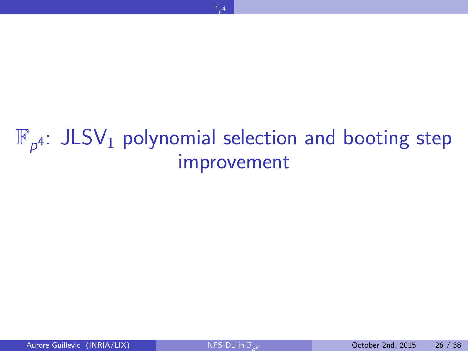<span id="page-48-0"></span>

# $\mathbb{F}_{p^4}$ : JLSV<sub>1</sub> [polynomial selection and booting step](#page-48-0) [improvement](#page-48-0)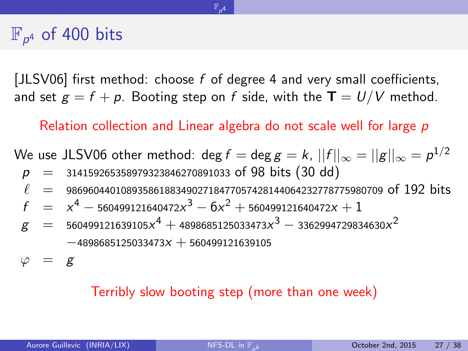## $\mathbb{F}_{p^4}$  of 400 bits

[JLSV06] first method: choose f of degree 4 and very small coefficients, and set  $g = f + p$ . Booting step on f side, with the  $T = U/V$  method.

 $\mathbb{F}_{p^4}$  $\mathbb{F}_{p^4}$  $\mathbb{F}_{p^4}$ 

Relation collection and Linear algebra do not scale well for large p

We use JLSV06 other method:  $\deg f=\deg g=k,$   $||f||_{\infty}=||g||_{\infty} = \rho^{1/2}$  $p = 314159265358979323846270891033$  of 98 bits (30 dd)  $\ell$  = 9869604401089358618834902718477057428144064232778775980709 of 192 bits  $f \hspace{.2cm} = \hspace{.2cm} x^4 - {\scriptstyle 560499121640472x^3} - 6x^2 + {\scriptstyle 560499121640472x} + 1$  $g~~=~~$  560499121639105 $x^{4}+$  4898685125033473 $x^{3}-$  3362994729834630 $x^{2}$  $-4898685125033473x + 560499121639105$ 

 $\varphi = g$ 

#### <span id="page-49-0"></span>Terribly slow booting step (more than one week)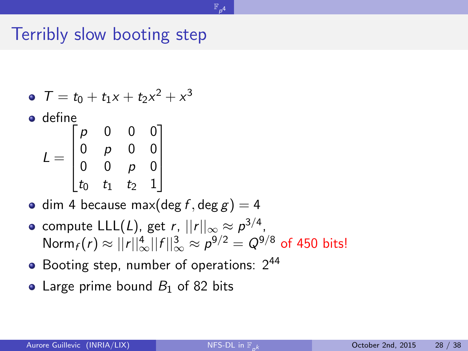#### Terribly slow booting step

• 
$$
T = t_0 + t_1 x + t_2 x^2 + x^3
$$

**o** define

| $\equiv$ | p              | 0                | 0              | 0              |  |
|----------|----------------|------------------|----------------|----------------|--|
|          | $\overline{0}$ | p                | $\overline{0}$ | $\overline{0}$ |  |
|          | $\frac{1}{0}$  | $\overset{.}{0}$ | D              |                |  |
|          | $t_0$          | $t_1$            | t <sub>2</sub> |                |  |

- dim 4 because max(deg f, deg g) = 4
- compute  $\mathsf{LLL}(L)$ , get  $r,$   $||r||_\infty \approx \rho^{3/4},$ Norm $_f(r) \approx ||r||_\infty^4 ||f||_\infty^3 \approx \rho^{9/2} = Q^{9/8}$  of 450 bits!

<span id="page-50-0"></span> $\mathbb{F}_{p^4}$  $\mathbb{F}_{p^4}$  $\mathbb{F}_{p^4}$ 

- Booting step, number of operations:  $2^{44}$
- Large prime bound  $B_1$  of 82 bits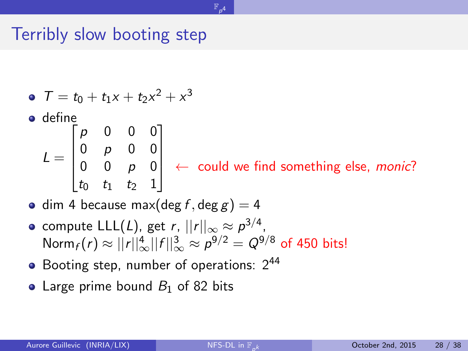#### Terribly slow booting step

\n- \n
$$
T = t_0 + t_1 x + t_2 x^2 + x^3
$$
\n
\n- \n
$$
L = \begin{bmatrix} p & 0 & 0 & 0 \\ 0 & p & 0 & 0 \\ 0 & 0 & p & 0 \\ t_0 & t_1 & t_2 & 1 \end{bmatrix}
$$
\n
\n- \n
$$
\leftarrow \text{could we find something else, monic?}
$$
\n
\n

<span id="page-51-0"></span> $\mathbb{F}_{p^4}$  $\mathbb{F}_{p^4}$  $\mathbb{F}_{p^4}$ 

- dim 4 because max(deg f, deg  $g$ ) = 4
- compute  $\mathsf{LLL}(L)$ , get  $r,$   $||r||_\infty \approx \rho^{3/4},$ Norm $_f(r) \approx ||r||_\infty^4 ||f||_\infty^3 \approx \rho^{9/2} = Q^{9/8}$  of 450 bits!
- Booting step, number of operations:  $2^{44}$
- Large prime bound  $B_1$  of 82 bits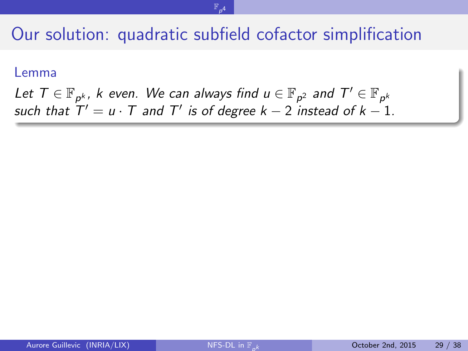<span id="page-52-0"></span> $\mathbb{F}_{p^4}$  $\mathbb{F}_{p^4}$  $\mathbb{F}_{p^4}$ 

#### Lemma

Let  $\mathcal{T} \in \mathbb{F}_{p^k}$ ,  $k$  even. We can always find  $u \in \mathbb{F}_{p^2}$  and  $\mathcal{T}' \in \mathbb{F}_{p^k}$ such that  $T' = u \cdot T$  and  $T'$  is of degree  $k - 2$  instead of  $k - 1$ .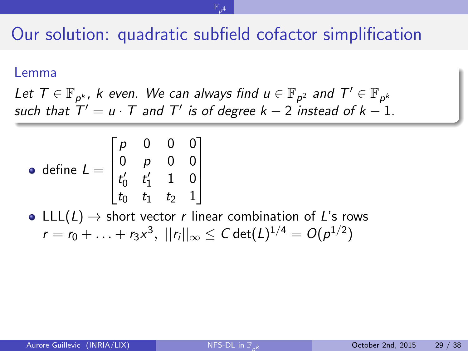<span id="page-53-0"></span> $\mathbb{F}_{p^4}$  $\mathbb{F}_{p^4}$  $\mathbb{F}_{p^4}$ 

#### Lemma

Let  $\mathcal{T} \in \mathbb{F}_{p^k}$ ,  $k$  even. We can always find  $u \in \mathbb{F}_{p^2}$  and  $\mathcal{T}' \in \mathbb{F}_{p^k}$ such that  $T' = u \cdot T$  and  $T'$  is of degree  $k - 2$  instead of  $k - 1$ .

• define 
$$
L = \begin{bmatrix} p & 0 & 0 & 0 \\ 0 & p & 0 & 0 \\ t'_0 & t'_1 & 1 & 0 \\ t_0 & t_1 & t_2 & 1 \end{bmatrix}
$$

• LLL(L)  $\rightarrow$  short vector r linear combination of L's rows  $r=r_0+\ldots+r_3\textsf{x}^3,\;||r_i||_\infty\leq \textsf{C}\,\textsf{det}(\textsf{L})^{1/4}=\textsf{O}(\rho^{1/2})$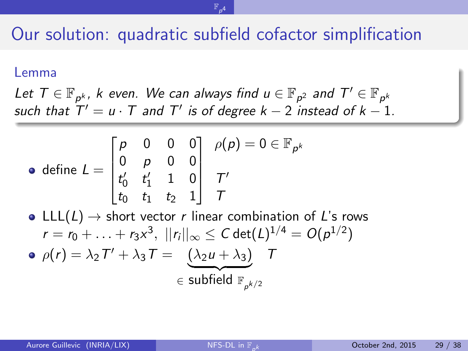<span id="page-54-0"></span> $\mathbb{F}_{p^4}$  $\mathbb{F}_{p^4}$  $\mathbb{F}_{p^4}$ 

#### Lemma

Let  $\mathcal{T} \in \mathbb{F}_{p^k}$ ,  $k$  even. We can always find  $u \in \mathbb{F}_{p^2}$  and  $\mathcal{T}' \in \mathbb{F}_{p^k}$ such that  $T' = u \cdot T$  and  $T'$  is of degree  $k - 2$  instead of  $k - 1$ .

• define 
$$
L = \begin{bmatrix} p & 0 & 0 & 0 \\ 0 & p & 0 & 0 \\ t'_0 & t'_1 & 1 & 0 \\ t_0 & t_1 & t_2 & 1 \end{bmatrix} \begin{matrix} \rho(p) = 0 \in \mathbb{F}_{p^k} \\ T' \\ T \end{matrix}
$$

• LLL( $L$ )  $\rightarrow$  short vector r linear combination of L's rows  $r=r_0+\ldots+r_3\textsf{x}^3,\;||r_i||_\infty\leq \textsf{C}\,\textsf{det}(\textsf{L})^{1/4}=\textsf{O}(\rho^{1/2})$  $\rho(r) = \lambda_2 T' + \lambda_3 T = (\lambda_2 u + \lambda_3)$  T  $\epsilon$  subfield  $\mathbb{F}_{p^{k/2}}$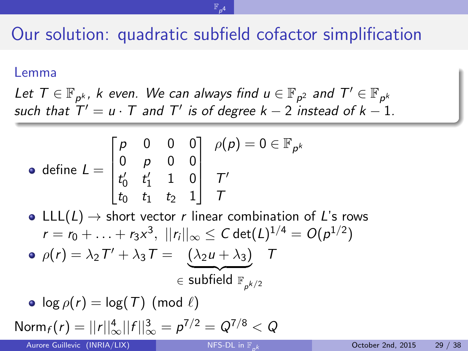<span id="page-55-0"></span> $\mathbb{F}_{p^4}$  $\mathbb{F}_{p^4}$  $\mathbb{F}_{p^4}$ 

#### Lemma

Let  $\mathcal{T} \in \mathbb{F}_{p^k}$ ,  $k$  even. We can always find  $u \in \mathbb{F}_{p^2}$  and  $\mathcal{T}' \in \mathbb{F}_{p^k}$ such that  $T' = u \cdot T$  and  $T'$  is of degree  $k - 2$  instead of  $k - 1$ .

• define 
$$
L = \begin{bmatrix} p & 0 & 0 & 0 \\ 0 & p & 0 & 0 \\ t'_0 & t'_1 & 1 & 0 \\ t_0 & t_1 & t_2 & 1 \end{bmatrix} \begin{array}{c} \rho(p) = 0 \in \mathbb{F}_{p^k} \\ T' \\ T \end{array}
$$

• LLL( $L$ )  $\rightarrow$  short vector r linear combination of L's rows  $r=r_0+\ldots+r_3\textsf{x}^3,\;||r_i||_\infty\leq \textsf{C}\,\textsf{det}(\textsf{L})^{1/4}=\textsf{O}(\rho^{1/2})$  $\rho(r) = \lambda_2 T' + \lambda_3 T = (\lambda_2 u + \lambda_3)$  T  $\epsilon$  subfield  $\mathbb{F}_{p^{k/2}}$ 

• 
$$
\log \rho(r) = \log(T) \pmod{\ell}
$$
  
Norm<sub>f</sub>(r) =  $||r||_{\infty}^4 ||f||_{\infty}^3 = p^{7/2} = Q^{7/8} < Q$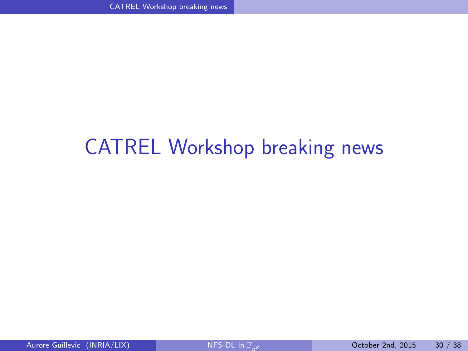## <span id="page-56-0"></span>[CATREL Workshop breaking news](#page-56-0)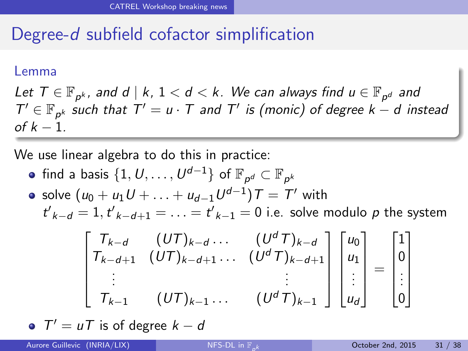### Degree-d subfield cofactor simplification

#### Lemma

Let  $\mathcal{T} \in \mathbb{F}_{p^k}$ , and  $d \mid k, \, 1 < d < k$ . We can always find  $u \in \mathbb{F}_{p^d}$  and  $T' \in \mathbb{F}_{p^k}$  such that  $T' = u \cdot T$  and  $T'$  is (monic) of degree  $k - d$  instead of  $k - 1$ .

We use linear algebra to do this in practice:

- find a basis  $\{1, U, \ldots, U^{d-1}\}$  of  $\mathbb{F}_{\rho^d} \subset \mathbb{F}_{\rho^k}$
- solve  $(u_0+u_1U+\ldots+u_{d-1}U^{d-1})$   $\mathcal{T}=\mathcal{T}'$  with  $t'_{k-d} = 1, t'_{k-d+1} = \ldots = t'_{k-1} = 0$  i.e. solve modulo  $p$  the system

<span id="page-57-0"></span>
$$
\begin{bmatrix}\nT_{k-d} & (UT)_{k-d} \dots & (U^d T)_{k-d} \\
T_{k-d+1} & (UT)_{k-d+1} \dots & (U^d T)_{k-d+1} \\
\vdots & \vdots & \vdots \\
T_{k-1} & (UT)_{k-1} \dots & (U^d T)_{k-1}\n\end{bmatrix}\n\begin{bmatrix}\nu_0 \\
u_1 \\
\vdots \\
u_d\n\end{bmatrix} =\n\begin{bmatrix}\n1 \\
0 \\
\vdots \\
0\n\end{bmatrix}
$$

 $T' = uT$  is of degree  $k - d$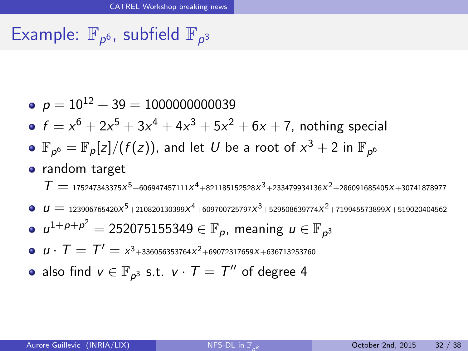## Example:  $\mathbb{F}_{p^6}$ , subfield  $\mathbb{F}_{p^3}$

- $p = 10^{12} + 39 = 1000000000039$
- $f = x^6 + 2x^5 + 3x^4 + 4x^3 + 5x^2 + 6x + 7$ , nothing special
- $\mathbb{F}_{\rho^6}=\mathbb{F}_\rho[z]/(f(z))$ , and let  $U$  be a root of  $x^3+2$  in  $\mathbb{F}_{\rho^6}$
- random target

 $T=$  175247343375 $x^{5}$ +606947457111 $x^{4}$ +821185152528 $x^{3}$ +233479934136 $x^{2}$ +286091685405 $x$ +30741878977

- $\mu = \frac{123906765420 X^5 + 210820130399 X^4 + 609700725797 X^3 + 529508639774 X^2 + 719945573899 X + 5190204045629}{\mu}$
- $u^{1+p+p^2} =$  252075155349  $\in \mathbb{F}_p$ , meaning  $u \in \mathbb{F}_{p^3}$
- $u\cdot T = T' = \kappa^3$ +336056353764 $x^2$ +69072317659 $x$ +636713253760
- <span id="page-58-0"></span>also find  $v\in\mathbb{F}_{\rho^3}$  s.t.  $v\cdot\mathcal{T}=\mathcal{T}''$  of degree 4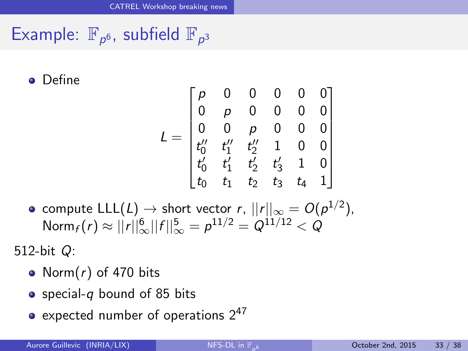## Example:  $\mathbb{F}_{p^6}$ , subfield  $\mathbb{F}_{p^3}$

**o** Define

<span id="page-59-0"></span>
$$
L = \begin{bmatrix} p & 0 & 0 & 0 & 0 & 0 \\ 0 & p & 0 & 0 & 0 & 0 \\ 0 & 0 & p & 0 & 0 & 0 \\ t_0'' & t_1'' & t_2'' & 1 & 0 & 0 \\ t_0' & t_1' & t_2' & t_3' & 1 & 0 \\ t_0 & t_1 & t_2 & t_3 & t_4 & 1 \end{bmatrix}
$$

compute  $\mathsf{LLL}(L)\to \mathsf{short}$  vector  $r,$   $||r||_\infty = O(\rho^{1/2}),$  ${\sf Norm}_f(r)\approx ||r||{}^6_\infty||f||{}^5_\infty=\rho^{11/2}=Q^{11/12}< Q$ 

512-bit Q:

- Norm $(r)$  of 470 bits
- special-q bound of 85 bits
- expected number of operations  $2^{47}$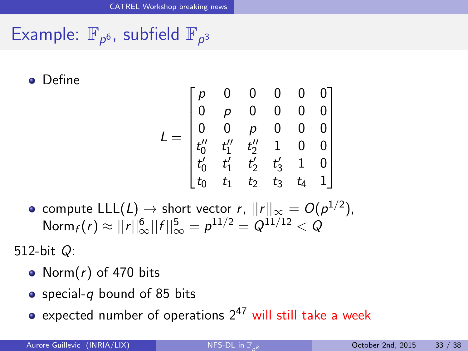## Example:  $\mathbb{F}_{p^6}$ , subfield  $\mathbb{F}_{p^3}$

**o** Define

<span id="page-60-0"></span>
$$
L = \begin{bmatrix} p & 0 & 0 & 0 & 0 & 0 \\ 0 & p & 0 & 0 & 0 & 0 \\ 0 & 0 & p & 0 & 0 & 0 \\ t_0'' & t_1'' & t_2'' & 1 & 0 & 0 \\ t_0' & t_1' & t_2' & t_3' & 1 & 0 \\ t_0 & t_1 & t_2 & t_3 & t_4 & 1 \end{bmatrix}
$$

compute  $\mathsf{LLL}(L)\to \mathsf{short}$  vector  $r,$   $||r||_\infty = O(\rho^{1/2}),$  ${\sf Norm}_f(r)\approx ||r||{}^6_\infty||f||{}^5_\infty=\rho^{11/2}=Q^{11/12}< Q$ 

512-bit Q:

- Norm $(r)$  of 470 bits
- special-q bound of 85 bits
- expected number of operations  $2^{47}$  will still take a week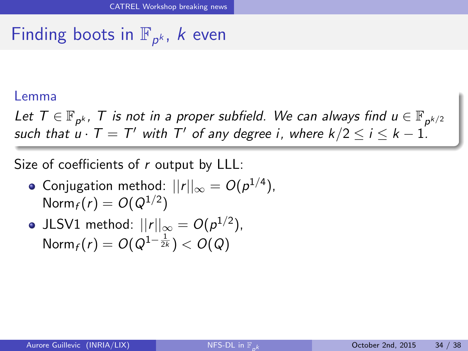# Finding boots in  $\mathbb{F}_{p^k}$ , *k* even

#### Lemma

Let  $\mathcal{T} \in \mathbb{F}_{p^k}$ ,  $\mathcal{T}$  is not in a proper subfield. We can always find  $u \in \mathbb{F}_{p^{k/2}}$ such that  $u\cdot T=T'$  with  $T'$  of any degree i, where  $k/2\leq i\leq k-1.$ 

Size of coefficients of r output by LLL:

- Conjugation method:  $||r||_{\infty}=O(\rho^{1/4}),$  $\mathsf{Norm}_f(r)=O(Q^{1/2})$
- <span id="page-61-0"></span>JLSV1 method:  $||r||_{\infty} = O(p^{1/2})$ ,  $\mathsf{Norm}_f(r)=\mathit{O}(\mathit{Q}^{1-\frac{1}{2k}})<\mathit{O}(\mathit{Q})$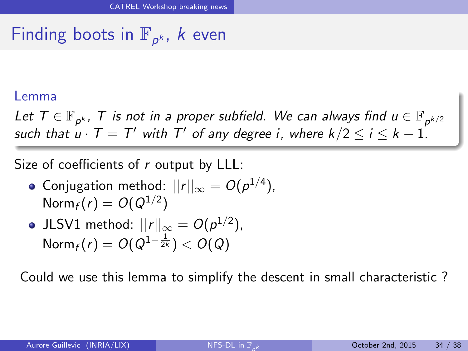# Finding boots in  $\mathbb{F}_{p^k}$ , *k* even

#### Lemma

Let  $\mathcal{T} \in \mathbb{F}_{p^k}$ ,  $\mathcal{T}$  is not in a proper subfield. We can always find  $u \in \mathbb{F}_{p^{k/2}}$ such that  $u\cdot T=T'$  with  $T'$  of any degree i, where  $k/2\leq i\leq k-1.$ 

Size of coefficients of r output by LLL:

- Conjugation method:  $||r||_{\infty}=O(\rho^{1/4}),$  $\mathsf{Norm}_f(r)=O(Q^{1/2})$
- JLSV1 method:  $||r||_{\infty} = O(p^{1/2})$ ,  $\mathsf{Norm}_f(r)=\mathit{O}(\mathit{Q}^{1-\frac{1}{2k}})<\mathit{O}(\mathit{Q})$

<span id="page-62-0"></span>Could we use this lemma to simplify the descent in small characteristic ?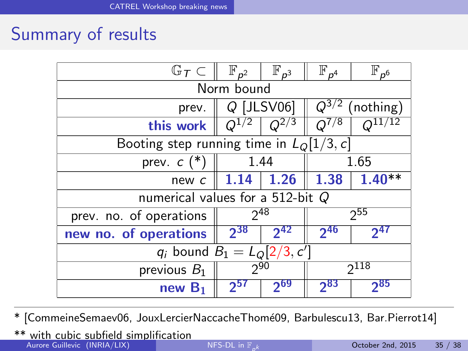### Summary of results

| $\mathbb{G}_\mathcal{T} \subset$           | $\mathbb{F}_{p^2}$   | $\mathbb{F}_{p^3}$ | $\mathbb{F}_{p^4}$     | $\mathbb{F}_{p^6}$ |  |  |  |
|--------------------------------------------|----------------------|--------------------|------------------------|--------------------|--|--|--|
| Norm bound                                 |                      |                    |                        |                    |  |  |  |
| prev.                                      | $Q$ [JLSV06]         |                    | $O^{3/2}$<br>(nothing) |                    |  |  |  |
| this work                                  | /2                   | $Q^{2/3}$          | 7/8<br>Ω               |                    |  |  |  |
| Booting step running time in $L_0[1/3, c]$ |                      |                    |                        |                    |  |  |  |
| prev. $c$ (*)<br>1.44                      |                      |                    |                        | 1.65               |  |  |  |
| new c                                      | 1.26                 | 1.38               | $1.40**$               |                    |  |  |  |
| numerical values for a 512-bit $Q$         |                      |                    |                        |                    |  |  |  |
| prev. no. of operations                    | 248                  |                    | 255                    |                    |  |  |  |
| new no. of operations                      | $2^{38}$<br>$2^{42}$ |                    | $2^{46}$               | 241                |  |  |  |
| $q_i$ bound $B_1 = L_Q[2/3, c']$           |                      |                    |                        |                    |  |  |  |
| previous $B_1$                             | 290                  |                    | $2^{118}$              |                    |  |  |  |
| new $B_1$                                  | ႒၁၊                  | $2^{69}$           | $2^{83}$               | ን85                |  |  |  |

\* [CommeineSemaev06, JouxLercierNaccacheThom´e09, Barbulescu13, Bar.Pierrot14]

<span id="page-63-0"></span>\*\* with cubic subfield simplification Aurore Guillevic (INRIA/LIX)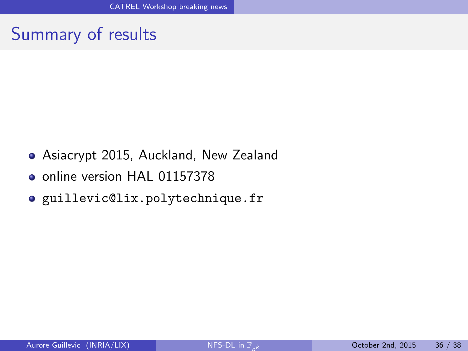### Summary of results

- Asiacrypt 2015, Auckland, New Zealand
- online version HAL 01157378
- <span id="page-64-0"></span>guillevic@lix.polytechnique.fr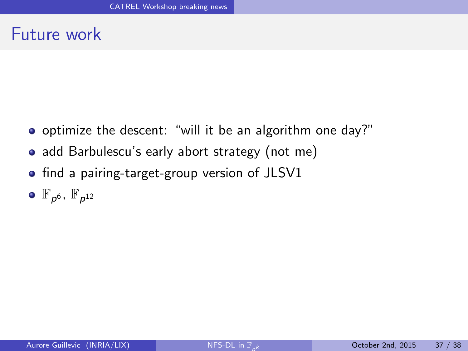#### Future work

- optimize the descent: "will it be an algorithm one day?"
- add Barbulescu's early abort strategy (not me)
- find a pairing-target-group version of JLSV1
- <span id="page-65-0"></span> $\mathbb{F}_{p^6}$ ,  $\mathbb{F}_{p^{12}}$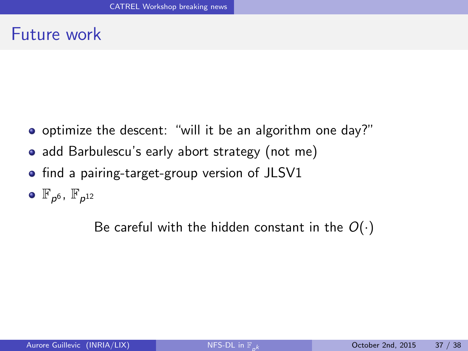#### Future work

- optimize the descent: "will it be an algorithm one day?"
- add Barbulescu's early abort strategy (not me)
- find a pairing-target-group version of JLSV1
- $\mathbb{F}_{p^6}$ ,  $\mathbb{F}_{p^{12}}$

<span id="page-66-0"></span>Be careful with the hidden constant in the  $O(·)$